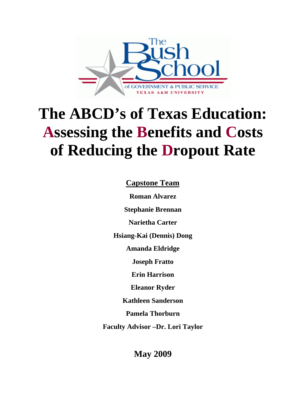

# **The ABCD's of Texas Education: Assessing the Benefits and Costs of Reducing the Dropout Rate**

**Capstone Team**

**Roman Alvarez** 

**Stephanie Brennan** 

**Narietha Carter** 

**Hsiang-Kai (Dennis) Dong** 

**Amanda Eldridge** 

**Joseph Fratto** 

**Erin Harrison** 

**Eleanor Ryder** 

**Kathleen Sanderson** 

**Pamela Thorburn** 

**Faculty Advisor –Dr. Lori Taylor** 

**May 2009**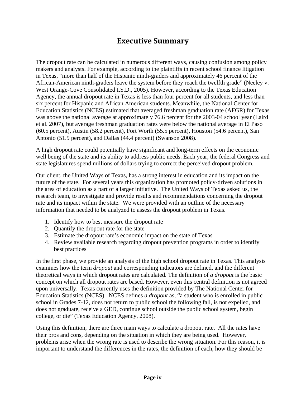# **Executive Summary**

The dropout rate can be calculated in numerous different ways, causing confusion among policy makers and analysts. For example, according to the plaintiffs in recent school finance litigation in Texas, "more than half of the Hispanic ninth-graders and approximately 46 percent of the African-American ninth-graders leave the system before they reach the twelfth grade" (Neeley v. West Orange-Cove Consolidated I.S.D., 2005). However, according to the Texas Education Agency, the annual dropout rate in Texas is less than four percent for all students, and less than six percent for Hispanic and African American students. Meanwhile, the National Center for Education Statistics (NCES) estimated that averaged freshman graduation rate (AFGR) for Texas was above the national average at approximately 76.6 percent for the 2003-04 school year (Laird et al. 2007), but average freshman graduation rates were below the national average in El Paso (60.5 percent), Austin (58.2 percent), Fort Worth (55.5 percent), Houston (54.6 percent), San Antonio (51.9 percent), and Dallas (44.4 percent) (Swanson 2008).

A high dropout rate could potentially have significant and long-term effects on the economic well being of the state and its ability to address public needs. Each year, the federal Congress and state legislatures spend millions of dollars trying to correct the perceived dropout problem.

Our client, the United Ways of Texas, has a strong interest in education and its impact on the future of the state. For several years this organization has promoted policy-driven solutions in the area of education as a part of a larger initiative. The United Ways of Texas asked us, the research team, to investigate and provide results and recommendations concerning the dropout rate and its impact within the state. We were provided with an outline of the necessary information that needed to be analyzed to assess the dropout problem in Texas.

- 1. Identify how to best measure the dropout rate
- 2. Quantify the dropout rate for the state
- 3. Estimate the dropout rate's economic impact on the state of Texas
- 4. Review available research regarding dropout prevention programs in order to identify best practices

In the first phase, we provide an analysis of the high school dropout rate in Texas. This analysis examines how the term *dropout* and corresponding indicators are defined, and the different theoretical ways in which dropout rates are calculated. The definition of *a dropout* is the basic concept on which all dropout rates are based. However, even this central definition is not agreed upon universally. Texas currently uses the definition provided by The National Center for Education Statistics (NCES). NCES defines *a dropout* as, "a student who is enrolled in public school in Grades 7-12, does not return to public school the following fall, is not expelled, and does not graduate, receive a GED, continue school outside the public school system, begin college, or die" (Texas Education Agency, 2008).

Using this definition, there are three main ways to calculate a dropout rate. All the rates have their pros and cons, depending on the situation in which they are being used. However, problems arise when the wrong rate is used to describe the wrong situation. For this reason, it is important to understand the differences in the rates, the definition of each, how they should be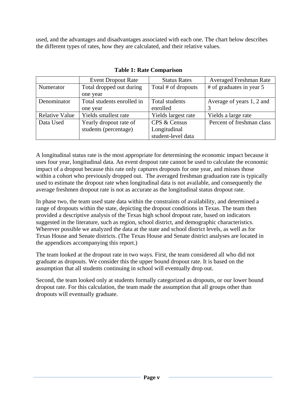used, and the advantages and disadvantages associated with each one. The chart below describes the different types of rates, how they are calculated, and their relative values.

|                       | <b>Event Dropout Rate</b>  | <b>Status Rates</b> | <b>Averaged Freshman Rate</b> |
|-----------------------|----------------------------|---------------------|-------------------------------|
| Numerator             | Total dropped out during   | Total # of dropouts | # of graduates in year 5      |
|                       | one year                   |                     |                               |
| Denominator           | Total students enrolled in | Total students      | Average of years 1, 2 and     |
|                       | one year                   | enrolled            |                               |
| <b>Relative Value</b> | Yields smallest rate       | Yields largest rate | Yields a large rate           |
| Data Used             | Yearly dropout rate of     | CPS & Census        | Percent of freshman class     |
|                       | students (percentage)      | Longitudinal        |                               |
|                       |                            | student-level data  |                               |

**Table 1: Rate Comparison**

A longitudinal status rate is the most appropriate for determining the economic impact because it uses four year, longitudinal data. An event dropout rate cannot be used to calculate the economic impact of a dropout because this rate only captures dropouts for one year, and misses those within a cohort who previously dropped out. The averaged freshman graduation rate is typically used to estimate the dropout rate when longitudinal data is not available, and consequently the average freshmen dropout rate is not as accurate as the longitudinal status dropout rate.

In phase two, the team used state data within the constraints of availability, and determined a range of dropouts within the state, depicting the dropout conditions in Texas. The team then provided a descriptive analysis of the Texas high school dropout rate, based on indicators suggested in the literature, such as region, school district, and demographic characteristics. Wherever possible we analyzed the data at the state and school district levels, as well as for Texas House and Senate districts. (The Texas House and Senate district analyses are located in the appendices accompanying this report.)

The team looked at the dropout rate in two ways. First, the team considered all who did not graduate as dropouts. We consider this the upper bound dropout rate. It is based on the assumption that all students continuing in school will eventually drop out.

Second, the team looked only at students formally categorized as dropouts, or our lower bound dropout rate. For this calculation, the team made the assumption that all groups other than dropouts will eventually graduate.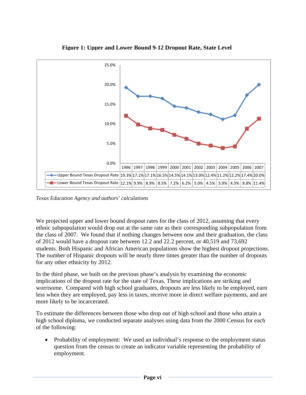

**Figure 1: Upper and Lower Bound 9-12 Dropout Rate, State Level**

*Texas Education Agency and authors' calculations* 

We projected upper and lower bound dropout rates for the class of 2012, assuming that every ethnic subpopulation would drop out at the same rate as their corresponding subpopulation from the class of 2007. We found that if nothing changes between now and their graduation, the class of 2012 would have a dropout rate between 12.2 and 22.2 percent, or 40,519 and 73,692 students. Both Hispanic and African American populations show the highest dropout projections. The number of Hispanic dropouts will be nearly three times greater than the number of dropouts for any other ethnicity by 2012.

In the third phase, we built on the previous phase's analysis by examining the economic implications of the dropout rate for the state of Texas. These implications are striking and worrisome. Compared with high school graduates, dropouts are less likely to be employed, earn less when they are employed, pay less in taxes, receive more in direct welfare payments, and are more likely to be incarcerated.

To estimate the differences between those who drop out of high school and those who attain a high school diploma, we conducted separate analyses using data from the 2000 Census for each of the following:

 Probability of employment: We used an individual's response to the employment status question from the census to create an indicator variable representing the probability of employment.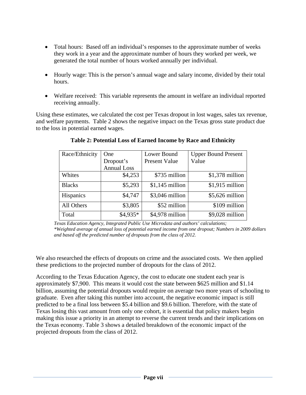- Total hours: Based off an individual's responses to the approximate number of weeks they work in a year and the approximate number of hours they worked per week, we generated the total number of hours worked annually per individual.
- Hourly wage: This is the person's annual wage and salary income, divided by their total hours.
- Welfare received: This variable represents the amount in welfare an individual reported receiving annually.

Using these estimates, we calculated the cost per Texas dropout in lost wages, sales tax revenue, and welfare payments. Table 2 shows the negative impact on the Texas gross state product due to the loss in potential earned wages.

| Race/Ethnicity | One                | Lower Bound          | <b>Upper Bound Present</b> |
|----------------|--------------------|----------------------|----------------------------|
|                | Dropout's          | <b>Present Value</b> | Value                      |
|                | <b>Annual Loss</b> |                      |                            |
| Whites         | \$4,253            | \$735 million        | $$1,378$ million           |
| <b>Blacks</b>  | \$5,293            | $$1,145$ million     | $$1,915$ million           |
| Hispanics      | \$4,747            | $$3,046$ million     | $$5,626$ million           |
| All Others     | \$3,805            | \$52 million         | \$109 million              |
| Total          | $$4,935*$          | \$4,978 million      | $$9,028$ million           |

## **Table 2: Potential Loss of Earned Income by Race and Ethnicity**

*Texas Education Agency, Integrated Public Use Microdata and authors' calculations; \*Weighted average of annual loss of potential earned income from one dropout; Numbers in 2009 dollars and based off the predicted number of dropouts from the class of 2012.* 

We also researched the effects of dropouts on crime and the associated costs. We then applied these predictions to the projected number of dropouts for the class of 2012.

According to the Texas Education Agency, the cost to educate one student each year is approximately \$7,900. This means it would cost the state between \$625 million and \$1.14 billion, assuming the potential dropouts would require on average two more years of schooling to graduate. Even after taking this number into account, the negative economic impact is still predicted to be a final loss between \$5.4 billion and \$9.6 billion. Therefore, with the state of Texas losing this vast amount from only one cohort, it is essential that policy makers begin making this issue a priority in an attempt to reverse the current trends and their implications on the Texas economy. Table 3 shows a detailed breakdown of the economic impact of the projected dropouts from the class of 2012.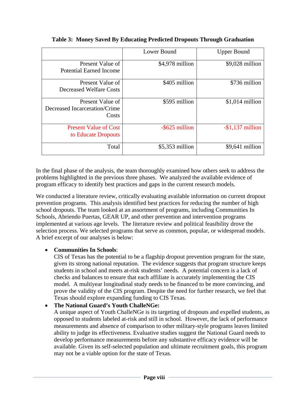|                                                            | Lower Bound      | <b>Upper Bound</b>  |
|------------------------------------------------------------|------------------|---------------------|
| Present Value of<br>Potential Earned Income                | \$4,978 million  | $$9,028$ million    |
| Present Value of<br><b>Decreased Welfare Costs</b>         | \$405 million    | \$736 million       |
| Present Value of<br>Decreased Incarceration/Crime<br>Costs | \$595 million    | $$1,014$ million    |
| <b>Present Value of Cost</b><br>to Educate Dropouts        | -\$625 million   | $-$ \$1,137 million |
| Total                                                      | $$5,353$ million | $$9,641$ million    |

**Table 3: Money Saved By Educating Predicted Dropouts Through Graduation** 

In the final phase of the analysis, the team thoroughly examined how others seek to address the problems highlighted in the previous three phases. We analyzed the available evidence of program efficacy to identify best practices and gaps in the current research models.

We conducted a literature review, critically evaluating available information on current dropout prevention programs. This analysis identified best practices for reducing the number of high school dropouts. The team looked at an assortment of programs, including Communities In Schools, Abriendo Puertas, GEAR UP, and other prevention and intervention programs implemented at various age levels. The literature review and political feasibility drove the selection process. We selected programs that serve as common, popular, or widespread models. A brief excerpt of our analyses is below:

#### **Communities In Schools**:

CIS of Texas has the potential to be a flagship dropout prevention program for the state, given its strong national reputation. The evidence suggests that program structure keeps students in school and meets at-risk students' needs. A potential concern is a lack of checks and balances to ensure that each affiliate is accurately implementing the CIS model. A multiyear longitudinal study needs to be financed to be more convincing, and prove the validity of the CIS program. Despite the need for further research, we feel that Texas should explore expanding funding to CIS Texas.

#### **The National Guard's Youth ChalleNGe:**

A unique aspect of Youth ChalleNGe is its targeting of dropouts and expelled students, as opposed to students labeled at-risk and still in school. However, the lack of performance measurements and absence of comparison to other military-style programs leaves limited ability to judge its effectiveness. Evaluative studies suggest the National Guard needs to develop performance measurements before any substantive efficacy evidence will be available. Given its self-selected population and ultimate recruitment goals, this program may not be a viable option for the state of Texas.